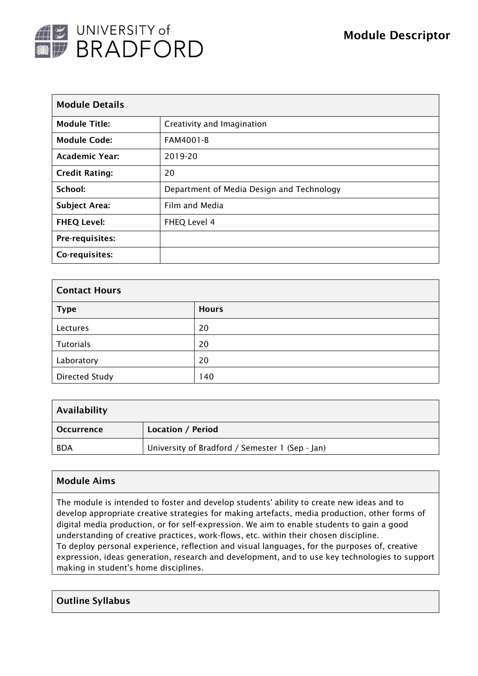

| <b>Module Details</b> |                                           |  |  |  |
|-----------------------|-------------------------------------------|--|--|--|
| <b>Module Title:</b>  | Creativity and Imagination                |  |  |  |
| <b>Module Code:</b>   | <b>FAM4001-B</b>                          |  |  |  |
| <b>Academic Year:</b> | 2019-20                                   |  |  |  |
| <b>Credit Rating:</b> | 20                                        |  |  |  |
| School:               | Department of Media Design and Technology |  |  |  |
| <b>Subject Area:</b>  | Film and Media                            |  |  |  |
| <b>FHEQ Level:</b>    | FHEQ Level 4                              |  |  |  |
| Pre-requisites:       |                                           |  |  |  |
| Co-requisites:        |                                           |  |  |  |

| <b>Contact Hours</b>  |              |  |  |  |
|-----------------------|--------------|--|--|--|
| <b>Type</b>           | <b>Hours</b> |  |  |  |
| Lectures              | 20           |  |  |  |
| <b>Tutorials</b>      | 20           |  |  |  |
| Laboratory            | 20           |  |  |  |
| <b>Directed Study</b> | 140          |  |  |  |

| Availability      |                                                 |  |  |  |
|-------------------|-------------------------------------------------|--|--|--|
| <b>Occurrence</b> | Location / Period                               |  |  |  |
| <b>BDA</b>        | University of Bradford / Semester 1 (Sep - Jan) |  |  |  |

# Module Aims

The module is intended to foster and develop students' ability to create new ideas and to develop appropriate creative strategies for making artefacts, media production, other forms of digital media production, or for self-expression. We aim to enable students to gain a good understanding of creative practices, work-flows, etc. within their chosen discipline. To deploy personal experience, reflection and visual languages, for the purposes of, creative expression, ideas generation, research and development, and to use key technologies to support making in student's home disciplines.

### Outline Syllabus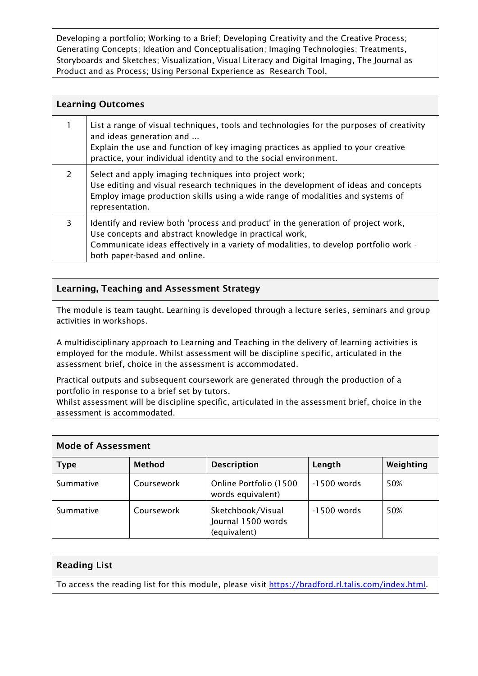Developing a portfolio; Working to a Brief; Developing Creativity and the Creative Process; Generating Concepts; Ideation and Conceptualisation; Imaging Technologies; Treatments, Storyboards and Sketches; Visualization, Visual Literacy and Digital Imaging, The Journal as Product and as Process; Using Personal Experience as Research Tool.

| <b>Learning Outcomes</b> |                                                                                                                                                                                                                                                                                |  |  |  |
|--------------------------|--------------------------------------------------------------------------------------------------------------------------------------------------------------------------------------------------------------------------------------------------------------------------------|--|--|--|
|                          | List a range of visual techniques, tools and technologies for the purposes of creativity<br>and ideas generation and<br>Explain the use and function of key imaging practices as applied to your creative<br>practice, your individual identity and to the social environment. |  |  |  |
| $\mathcal{L}$            | Select and apply imaging techniques into project work;<br>Use editing and visual research techniques in the development of ideas and concepts<br>Employ image production skills using a wide range of modalities and systems of<br>representation.                             |  |  |  |
| 3                        | Identify and review both 'process and product' in the generation of project work,<br>Use concepts and abstract knowledge in practical work,<br>Communicate ideas effectively in a variety of modalities, to develop portfolio work -<br>both paper-based and online.           |  |  |  |

# Learning, Teaching and Assessment Strategy

The module is team taught. Learning is developed through a lecture series, seminars and group activities in workshops.

A multidisciplinary approach to Learning and Teaching in the delivery of learning activities is employed for the module. Whilst assessment will be discipline specific, articulated in the assessment brief, choice in the assessment is accommodated.

Practical outputs and subsequent coursework are generated through the production of a portfolio in response to a brief set by tutors.

Whilst assessment will be discipline specific, articulated in the assessment brief, choice in the assessment is accommodated.

| <b>Mode of Assessment</b> |               |                                                         |             |           |  |  |  |  |
|---------------------------|---------------|---------------------------------------------------------|-------------|-----------|--|--|--|--|
| <b>Type</b>               | <b>Method</b> | <b>Description</b>                                      | Length      | Weighting |  |  |  |  |
| Summative                 | Coursework    | Online Portfolio (1500<br>words equivalent)             | -1500 words | 50%       |  |  |  |  |
| Summative                 | Coursework    | Sketchbook/Visual<br>Journal 1500 words<br>(equivalent) | -1500 words | 50%       |  |  |  |  |

# Reading List

To access the reading list for this module, please visit [https://bradford.rl.talis.com/index.html.](https://bradford.rl.talis.com/index.html)